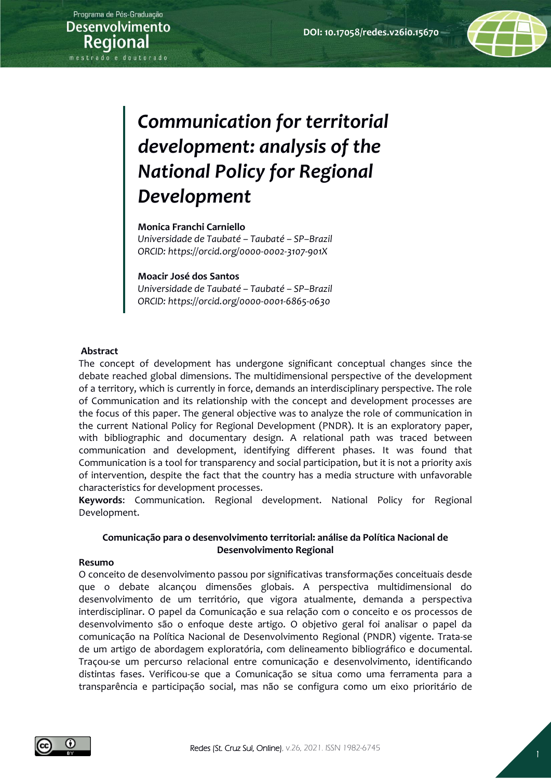

#### **Monica Franchi Carniello**

*Universidade de Taubaté – Taubaté – SP–Brazil ORCID: https://orcid.org/0000-0002-3107-901X*

#### **Moacir José dos Santos**

*Universidade de Taubaté – Taubaté – SP–Brazil ORCID: https://orcid.org/0000-0001-6865-0630*

#### **Abstract**

The concept of development has undergone significant conceptual changes since the debate reached global dimensions. The multidimensional perspective of the development of a territory, which is currently in force, demands an interdisciplinary perspective. The role of Communication and its relationship with the concept and development processes are the focus of this paper. The general objective was to analyze the role of communication in the current National Policy for Regional Development (PNDR). It is an exploratory paper, with bibliographic and documentary design. A relational path was traced between communication and development, identifying different phases. It was found that Communication is a tool for transparency and social participation, but it is not a priority axis of intervention, despite the fact that the country has a media structure with unfavorable characteristics for development processes.

**Keywords**: Communication. Regional development. National Policy for Regional Development.

## **Comunicação para o desenvolvimento territorial: análise da Política Nacional de Desenvolvimento Regional**

#### **Resumo**

O conceito de desenvolvimento passou por significativas transformações conceituais desde que o debate alcançou dimensões globais. A perspectiva multidimensional do desenvolvimento de um território, que vigora atualmente, demanda a perspectiva interdisciplinar. O papel da Comunicação e sua relação com o conceito e os processos de desenvolvimento são o enfoque deste artigo. O objetivo geral foi analisar o papel da comunicação na Política Nacional de Desenvolvimento Regional (PNDR) vigente. Trata-se de um artigo de abordagem exploratória, com delineamento bibliográfico e documental. Traçou-se um percurso relacional entre comunicação e desenvolvimento, identificando distintas fases. Verificou-se que a Comunicação se situa como uma ferramenta para a transparência e participação social, mas não se configura como um eixo prioritário de

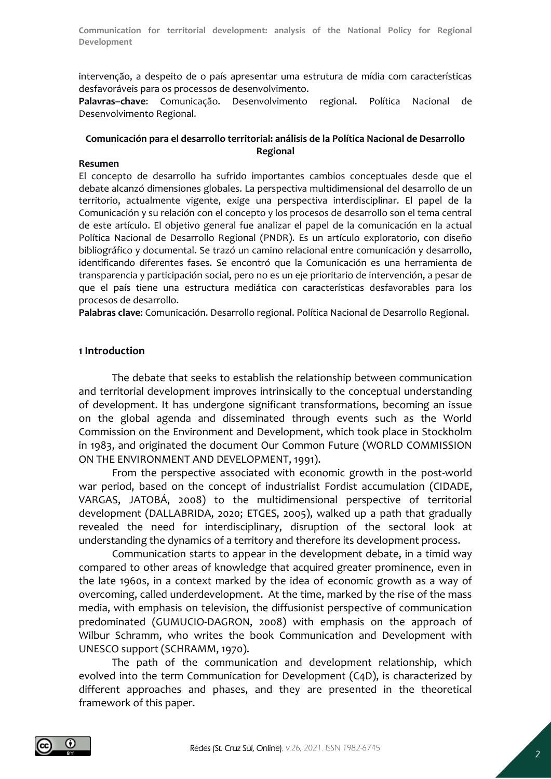intervenção, a despeito de o país apresentar uma estrutura de mídia com características desfavoráveis para os processos de desenvolvimento.

**Palavras–chave**: Comunicação. Desenvolvimento regional. Política Nacional de Desenvolvimento Regional.

## **Comunicación para el desarrollo territorial: análisis de la Política Nacional de Desarrollo Regional**

#### **Resumen**

El concepto de desarrollo ha sufrido importantes cambios conceptuales desde que el debate alcanzó dimensiones globales. La perspectiva multidimensional del desarrollo de un territorio, actualmente vigente, exige una perspectiva interdisciplinar. El papel de la Comunicación y su relación con el concepto y los procesos de desarrollo son el tema central de este artículo. El objetivo general fue analizar el papel de la comunicación en la actual Política Nacional de Desarrollo Regional (PNDR). Es un artículo exploratorio, con diseño bibliográfico y documental. Se trazó un camino relacional entre comunicación y desarrollo, identificando diferentes fases. Se encontró que la Comunicación es una herramienta de transparencia y participación social, pero no es un eje prioritario de intervención, a pesar de que el país tiene una estructura mediática con características desfavorables para los procesos de desarrollo.

**Palabras clave**: Comunicación. Desarrollo regional. Política Nacional de Desarrollo Regional.

## **1 Introduction**

The debate that seeks to establish the relationship between communication and territorial development improves intrinsically to the conceptual understanding of development. It has undergone significant transformations, becoming an issue on the global agenda and disseminated through events such as the World Commission on the Environment and Development, which took place in Stockholm in 1983, and originated the document Our Common Future (WORLD COMMISSION ON THE ENVIRONMENT AND DEVELOPMENT, 1991).

From the perspective associated with economic growth in the post-world war period, based on the concept of industrialist Fordist accumulation (CIDADE, VARGAS, JATOBÁ, 2008) to the multidimensional perspective of territorial development (DALLABRIDA, 2020; ETGES, 2005), walked up a path that gradually revealed the need for interdisciplinary, disruption of the sectoral look at understanding the dynamics of a territory and therefore its development process.

Communication starts to appear in the development debate, in a timid way compared to other areas of knowledge that acquired greater prominence, even in the late 1960s, in a context marked by the idea of economic growth as a way of overcoming, called underdevelopment. At the time, marked by the rise of the mass media, with emphasis on television, the diffusionist perspective of communication predominated (GUMUCIO-DAGRON, 2008) with emphasis on the approach of Wilbur Schramm, who writes the book Communication and Development with UNESCO support (SCHRAMM, 1970).

The path of the communication and development relationship, which evolved into the term Communication for Development (C4D), is characterized by different approaches and phases, and they are presented in the theoretical framework of this paper.

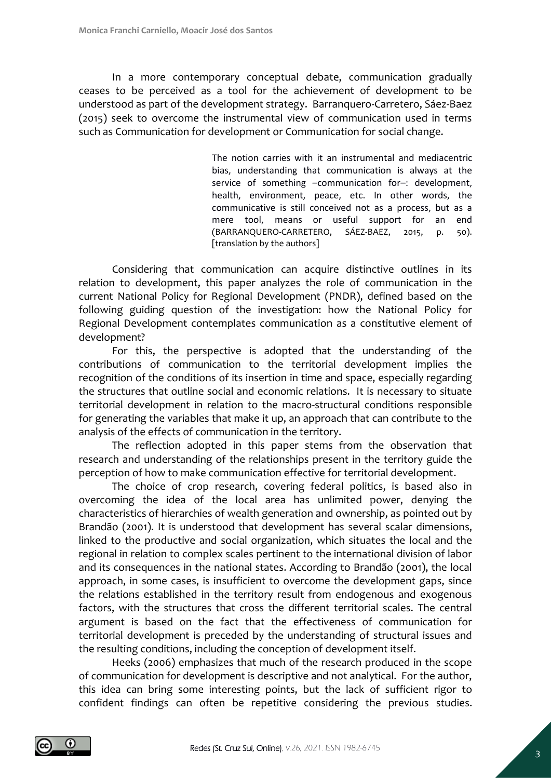In a more contemporary conceptual debate, communication gradually ceases to be perceived as a tool for the achievement of development to be understood as part of the development strategy. Barranquero-Carretero, Sáez-Baez (2015) seek to overcome the instrumental view of communication used in terms such as Communication for development or Communication for social change.

> The notion carries with it an instrumental and mediacentric bias, understanding that communication is always at the service of something –communication for–: development, health, environment, peace, etc. In other words, the communicative is still conceived not as a process, but as a mere tool, means or useful support for an end (BARRANQUERO-CARRETERO, SÁEZ-BAEZ, 2015, p. 50). [translation by the authors]

Considering that communication can acquire distinctive outlines in its relation to development, this paper analyzes the role of communication in the current National Policy for Regional Development (PNDR), defined based on the following guiding question of the investigation: how the National Policy for Regional Development contemplates communication as a constitutive element of development?

For this, the perspective is adopted that the understanding of the contributions of communication to the territorial development implies the recognition of the conditions of its insertion in time and space, especially regarding the structures that outline social and economic relations. It is necessary to situate territorial development in relation to the macro-structural conditions responsible for generating the variables that make it up, an approach that can contribute to the analysis of the effects of communication in the territory.

The reflection adopted in this paper stems from the observation that research and understanding of the relationships present in the territory guide the perception of how to make communication effective for territorial development.

The choice of crop research, covering federal politics, is based also in overcoming the idea of the local area has unlimited power, denying the characteristics of hierarchies of wealth generation and ownership, as pointed out by Brandão (2001). It is understood that development has several scalar dimensions, linked to the productive and social organization, which situates the local and the regional in relation to complex scales pertinent to the international division of labor and its consequences in the national states. According to Brandão (2001), the local approach, in some cases, is insufficient to overcome the development gaps, since the relations established in the territory result from endogenous and exogenous factors, with the structures that cross the different territorial scales. The central argument is based on the fact that the effectiveness of communication for territorial development is preceded by the understanding of structural issues and the resulting conditions, including the conception of development itself.

Heeks (2006) emphasizes that much of the research produced in the scope of communication for development is descriptive and not analytical. For the author, this idea can bring some interesting points, but the lack of sufficient rigor to confident findings can often be repetitive considering the previous studies.

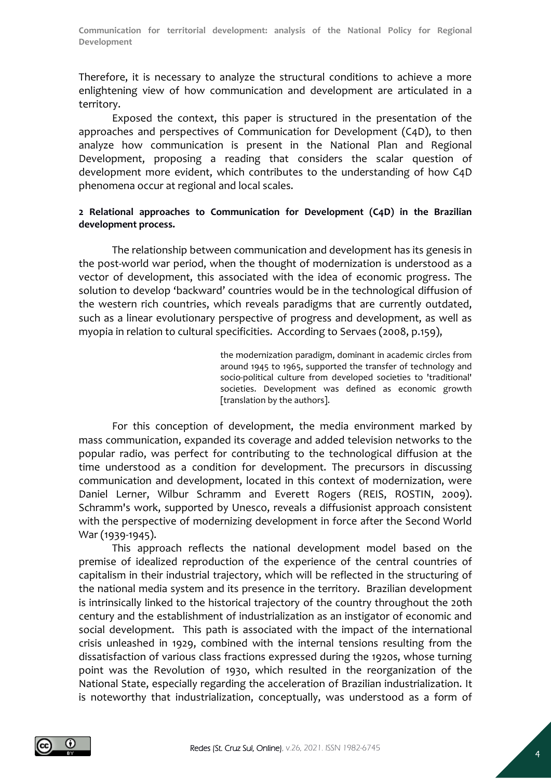Therefore, it is necessary to analyze the structural conditions to achieve a more enlightening view of how communication and development are articulated in a territory.

Exposed the context, this paper is structured in the presentation of the approaches and perspectives of Communication for Development (C4D), to then analyze how communication is present in the National Plan and Regional Development, proposing a reading that considers the scalar question of development more evident, which contributes to the understanding of how C4D phenomena occur at regional and local scales.

## **2 Relational approaches to Communication for Development (C4D) in the Brazilian development process.**

The relationship between communication and development has its genesis in the post-world war period, when the thought of modernization is understood as a vector of development, this associated with the idea of economic progress. The solution to develop 'backward' countries would be in the technological diffusion of the western rich countries, which reveals paradigms that are currently outdated, such as a linear evolutionary perspective of progress and development, as well as myopia in relation to cultural specificities. According to Servaes (2008, p.159),

> the modernization paradigm, dominant in academic circles from around 1945 to 1965, supported the transfer of technology and socio-political culture from developed societies to 'traditional' societies. Development was defined as economic growth [translation by the authors].

For this conception of development, the media environment marked by mass communication, expanded its coverage and added television networks to the popular radio, was perfect for contributing to the technological diffusion at the time understood as a condition for development. The precursors in discussing communication and development, located in this context of modernization, were Daniel Lerner, Wilbur Schramm and Everett Rogers (REIS, ROSTIN, 2009). Schramm's work, supported by Unesco, reveals a diffusionist approach consistent with the perspective of modernizing development in force after the Second World War (1939-1945).

This approach reflects the national development model based on the premise of idealized reproduction of the experience of the central countries of capitalism in their industrial trajectory, which will be reflected in the structuring of the national media system and its presence in the territory. Brazilian development is intrinsically linked to the historical trajectory of the country throughout the 20th century and the establishment of industrialization as an instigator of economic and social development. This path is associated with the impact of the international crisis unleashed in 1929, combined with the internal tensions resulting from the dissatisfaction of various class fractions expressed during the 1920s, whose turning point was the Revolution of 1930, which resulted in the reorganization of the National State, especially regarding the acceleration of Brazilian industrialization. It is noteworthy that industrialization, conceptually, was understood as a form of

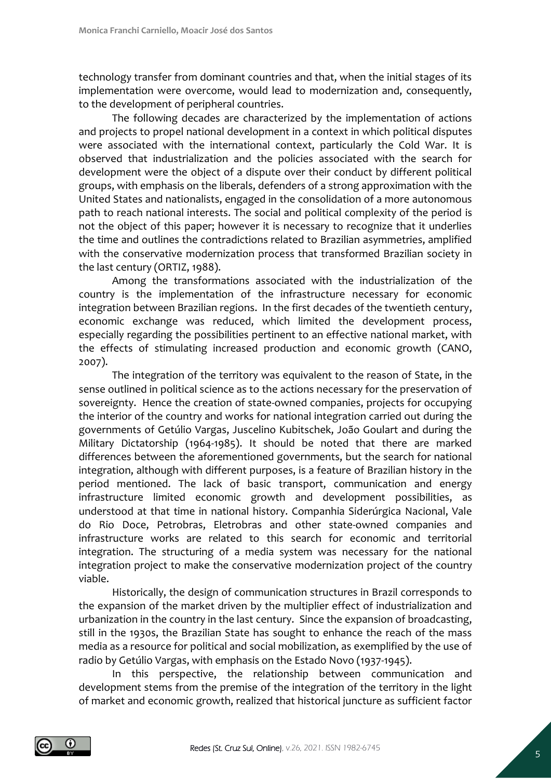technology transfer from dominant countries and that, when the initial stages of its implementation were overcome, would lead to modernization and, consequently, to the development of peripheral countries.

The following decades are characterized by the implementation of actions and projects to propel national development in a context in which political disputes were associated with the international context, particularly the Cold War. It is observed that industrialization and the policies associated with the search for development were the object of a dispute over their conduct by different political groups, with emphasis on the liberals, defenders of a strong approximation with the United States and nationalists, engaged in the consolidation of a more autonomous path to reach national interests. The social and political complexity of the period is not the object of this paper; however it is necessary to recognize that it underlies the time and outlines the contradictions related to Brazilian asymmetries, amplified with the conservative modernization process that transformed Brazilian society in the last century (ORTIZ, 1988).

Among the transformations associated with the industrialization of the country is the implementation of the infrastructure necessary for economic integration between Brazilian regions. In the first decades of the twentieth century, economic exchange was reduced, which limited the development process, especially regarding the possibilities pertinent to an effective national market, with the effects of stimulating increased production and economic growth (CANO, 2007).

The integration of the territory was equivalent to the reason of State, in the sense outlined in political science as to the actions necessary for the preservation of sovereignty. Hence the creation of state-owned companies, projects for occupying the interior of the country and works for national integration carried out during the governments of Getúlio Vargas, Juscelino Kubitschek, João Goulart and during the Military Dictatorship (1964-1985). It should be noted that there are marked differences between the aforementioned governments, but the search for national integration, although with different purposes, is a feature of Brazilian history in the period mentioned. The lack of basic transport, communication and energy infrastructure limited economic growth and development possibilities, as understood at that time in national history. Companhia Siderúrgica Nacional, Vale do Rio Doce, Petrobras, Eletrobras and other state-owned companies and infrastructure works are related to this search for economic and territorial integration. The structuring of a media system was necessary for the national integration project to make the conservative modernization project of the country viable.

Historically, the design of communication structures in Brazil corresponds to the expansion of the market driven by the multiplier effect of industrialization and urbanization in the country in the last century. Since the expansion of broadcasting, still in the 1930s, the Brazilian State has sought to enhance the reach of the mass media as a resource for political and social mobilization, as exemplified by the use of radio by Getúlio Vargas, with emphasis on the Estado Novo (1937-1945).

In this perspective, the relationship between communication and development stems from the premise of the integration of the territory in the light of market and economic growth, realized that historical juncture as sufficient factor

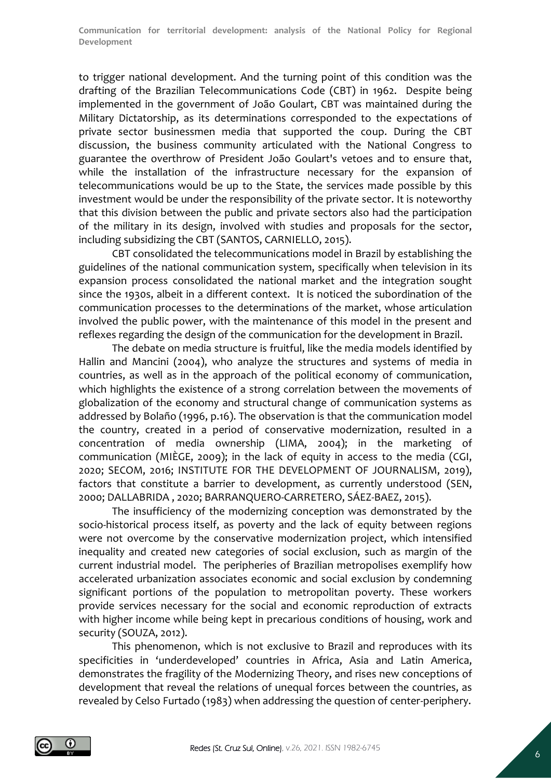to trigger national development. And the turning point of this condition was the drafting of the Brazilian Telecommunications Code (CBT) in 1962. Despite being implemented in the government of João Goulart, CBT was maintained during the Military Dictatorship, as its determinations corresponded to the expectations of private sector businessmen media that supported the coup. During the CBT discussion, the business community articulated with the National Congress to guarantee the overthrow of President João Goulart's vetoes and to ensure that, while the installation of the infrastructure necessary for the expansion of telecommunications would be up to the State, the services made possible by this investment would be under the responsibility of the private sector. It is noteworthy that this division between the public and private sectors also had the participation of the military in its design, involved with studies and proposals for the sector, including subsidizing the CBT (SANTOS, CARNIELLO, 2015).

CBT consolidated the telecommunications model in Brazil by establishing the guidelines of the national communication system, specifically when television in its expansion process consolidated the national market and the integration sought since the 1930s, albeit in a different context. It is noticed the subordination of the communication processes to the determinations of the market, whose articulation involved the public power, with the maintenance of this model in the present and reflexes regarding the design of the communication for the development in Brazil.

The debate on media structure is fruitful, like the media models identified by Hallin and Mancini (2004), who analyze the structures and systems of media in countries, as well as in the approach of the political economy of communication, which highlights the existence of a strong correlation between the movements of globalization of the economy and structural change of communication systems as addressed by Bolaño (1996, p.16). The observation is that the communication model the country, created in a period of conservative modernization, resulted in a concentration of media ownership (LIMA, 2004); in the marketing of communication (MIÈGE, 2009); in the lack of equity in access to the media (CGI, 2020; SECOM, 2016; INSTITUTE FOR THE DEVELOPMENT OF JOURNALISM, 2019), factors that constitute a barrier to development, as currently understood (SEN, 2000; DALLABRIDA , 2020; BARRANQUERO-CARRETERO, SÁEZ-BAEZ, 2015).

The insufficiency of the modernizing conception was demonstrated by the socio-historical process itself, as poverty and the lack of equity between regions were not overcome by the conservative modernization project, which intensified inequality and created new categories of social exclusion, such as margin of the current industrial model. The peripheries of Brazilian metropolises exemplify how accelerated urbanization associates economic and social exclusion by condemning significant portions of the population to metropolitan poverty. These workers provide services necessary for the social and economic reproduction of extracts with higher income while being kept in precarious conditions of housing, work and security (SOUZA, 2012).

This phenomenon, which is not exclusive to Brazil and reproduces with its specificities in 'underdeveloped' countries in Africa, Asia and Latin America, demonstrates the fragility of the Modernizing Theory, and rises new conceptions of development that reveal the relations of unequal forces between the countries, as revealed by Celso Furtado (1983) when addressing the question of center-periphery.

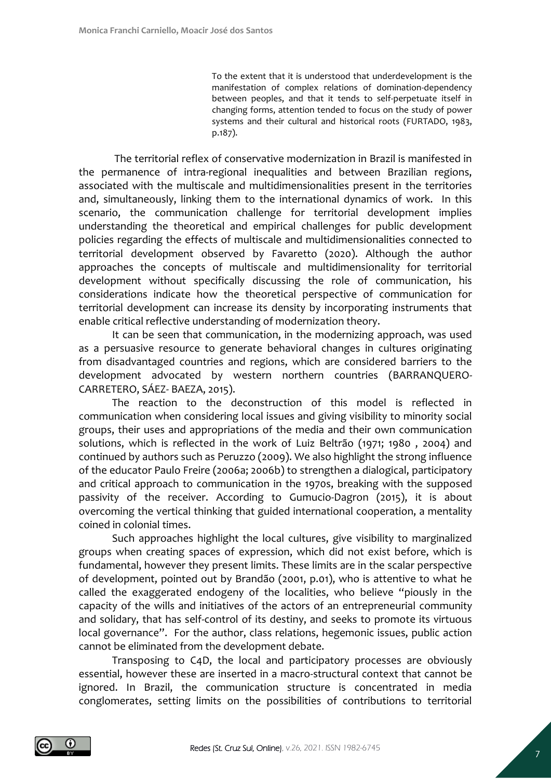To the extent that it is understood that underdevelopment is the manifestation of complex relations of domination-dependency between peoples, and that it tends to self-perpetuate itself in changing forms, attention tended to focus on the study of power systems and their cultural and historical roots (FURTADO, 1983, p.187).

The territorial reflex of conservative modernization in Brazil is manifested in the permanence of intra-regional inequalities and between Brazilian regions, associated with the multiscale and multidimensionalities present in the territories and, simultaneously, linking them to the international dynamics of work. In this scenario, the communication challenge for territorial development implies understanding the theoretical and empirical challenges for public development policies regarding the effects of multiscale and multidimensionalities connected to territorial development observed by Favaretto (2020). Although the author approaches the concepts of multiscale and multidimensionality for territorial development without specifically discussing the role of communication, his considerations indicate how the theoretical perspective of communication for territorial development can increase its density by incorporating instruments that enable critical reflective understanding of modernization theory.

It can be seen that communication, in the modernizing approach, was used as a persuasive resource to generate behavioral changes in cultures originating from disadvantaged countries and regions, which are considered barriers to the development advocated by western northern countries (BARRANQUERO-CARRETERO, SÁEZ- BAEZA, 2015).

The reaction to the deconstruction of this model is reflected in communication when considering local issues and giving visibility to minority social groups, their uses and appropriations of the media and their own communication solutions, which is reflected in the work of Luiz Beltrão (1971; 1980 , 2004) and continued by authors such as Peruzzo (2009). We also highlight the strong influence of the educator Paulo Freire (2006a; 2006b) to strengthen a dialogical, participatory and critical approach to communication in the 1970s, breaking with the supposed passivity of the receiver. According to Gumucio-Dagron (2015), it is about overcoming the vertical thinking that guided international cooperation, a mentality coined in colonial times.

Such approaches highlight the local cultures, give visibility to marginalized groups when creating spaces of expression, which did not exist before, which is fundamental, however they present limits. These limits are in the scalar perspective of development, pointed out by Brandão (2001, p.01), who is attentive to what he called the exaggerated endogeny of the localities, who believe "piously in the capacity of the wills and initiatives of the actors of an entrepreneurial community and solidary, that has self-control of its destiny, and seeks to promote its virtuous local governance". For the author, class relations, hegemonic issues, public action cannot be eliminated from the development debate.

Transposing to C4D, the local and participatory processes are obviously essential, however these are inserted in a macro-structural context that cannot be ignored. In Brazil, the communication structure is concentrated in media conglomerates, setting limits on the possibilities of contributions to territorial

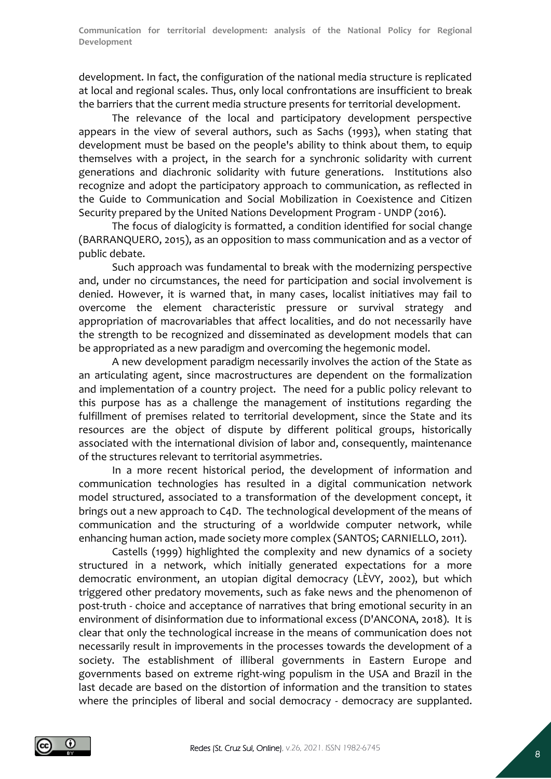development. In fact, the configuration of the national media structure is replicated at local and regional scales. Thus, only local confrontations are insufficient to break the barriers that the current media structure presents for territorial development.

The relevance of the local and participatory development perspective appears in the view of several authors, such as Sachs (1993), when stating that development must be based on the people's ability to think about them, to equip themselves with a project, in the search for a synchronic solidarity with current generations and diachronic solidarity with future generations. Institutions also recognize and adopt the participatory approach to communication, as reflected in the Guide to Communication and Social Mobilization in Coexistence and Citizen Security prepared by the United Nations Development Program - UNDP (2016).

The focus of dialogicity is formatted, a condition identified for social change (BARRANQUERO, 2015), as an opposition to mass communication and as a vector of public debate.

Such approach was fundamental to break with the modernizing perspective and, under no circumstances, the need for participation and social involvement is denied. However, it is warned that, in many cases, localist initiatives may fail to overcome the element characteristic pressure or survival strategy and appropriation of macrovariables that affect localities, and do not necessarily have the strength to be recognized and disseminated as development models that can be appropriated as a new paradigm and overcoming the hegemonic model.

A new development paradigm necessarily involves the action of the State as an articulating agent, since macrostructures are dependent on the formalization and implementation of a country project. The need for a public policy relevant to this purpose has as a challenge the management of institutions regarding the fulfillment of premises related to territorial development, since the State and its resources are the object of dispute by different political groups, historically associated with the international division of labor and, consequently, maintenance of the structures relevant to territorial asymmetries.

In a more recent historical period, the development of information and communication technologies has resulted in a digital communication network model structured, associated to a transformation of the development concept, it brings out a new approach to C4D. The technological development of the means of communication and the structuring of a worldwide computer network, while enhancing human action, made society more complex (SANTOS; CARNIELLO, 2011).

Castells (1999) highlighted the complexity and new dynamics of a society structured in a network, which initially generated expectations for a more democratic environment, an utopian digital democracy (LÈVY, 2002), but which triggered other predatory movements, such as fake news and the phenomenon of post-truth - choice and acceptance of narratives that bring emotional security in an environment of disinformation due to informational excess (D'ANCONA, 2018). It is clear that only the technological increase in the means of communication does not necessarily result in improvements in the processes towards the development of a society. The establishment of illiberal governments in Eastern Europe and governments based on extreme right-wing populism in the USA and Brazil in the last decade are based on the distortion of information and the transition to states where the principles of liberal and social democracy - democracy are supplanted.

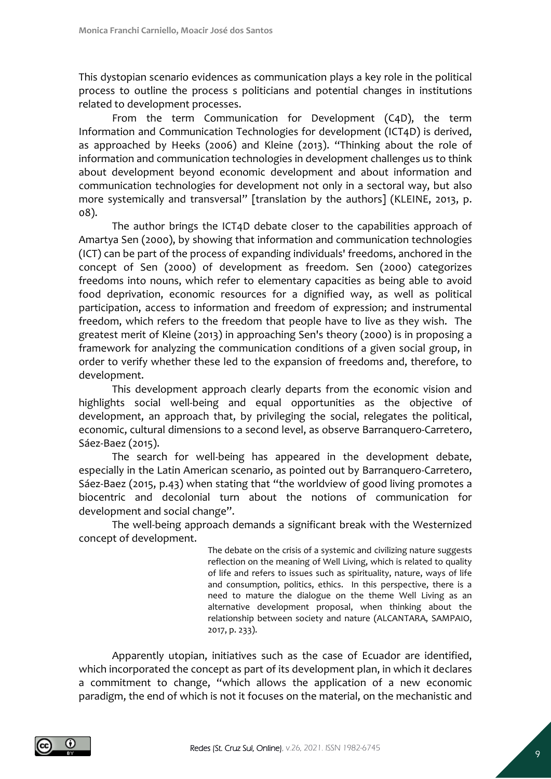This dystopian scenario evidences as communication plays a key role in the political process to outline the process s politicians and potential changes in institutions related to development processes.

From the term Communication for Development (C4D), the term Information and Communication Technologies for development (ICT4D) is derived, as approached by Heeks (2006) and Kleine (2013). "Thinking about the role of information and communication technologies in development challenges us to think about development beyond economic development and about information and communication technologies for development not only in a sectoral way, but also more systemically and transversal" [translation by the authors] (KLEINE, 2013, p. 08).

The author brings the ICT4D debate closer to the capabilities approach of Amartya Sen (2000), by showing that information and communication technologies (ICT) can be part of the process of expanding individuals' freedoms, anchored in the concept of Sen (2000) of development as freedom. Sen (2000) categorizes freedoms into nouns, which refer to elementary capacities as being able to avoid food deprivation, economic resources for a dignified way, as well as political participation, access to information and freedom of expression; and instrumental freedom, which refers to the freedom that people have to live as they wish. The greatest merit of Kleine (2013) in approaching Sen's theory (2000) is in proposing a framework for analyzing the communication conditions of a given social group, in order to verify whether these led to the expansion of freedoms and, therefore, to development.

This development approach clearly departs from the economic vision and highlights social well-being and equal opportunities as the objective of development, an approach that, by privileging the social, relegates the political, economic, cultural dimensions to a second level, as observe Barranquero-Carretero, Sáez-Baez (2015).

The search for well-being has appeared in the development debate, especially in the Latin American scenario, as pointed out by Barranquero-Carretero, Sáez-Baez (2015, p.43) when stating that "the worldview of good living promotes a biocentric and decolonial turn about the notions of communication for development and social change".

The well-being approach demands a significant break with the Westernized concept of development.

> The debate on the crisis of a systemic and civilizing nature suggests reflection on the meaning of Well Living, which is related to quality of life and refers to issues such as spirituality, nature, ways of life and consumption, politics, ethics. In this perspective, there is a need to mature the dialogue on the theme Well Living as an alternative development proposal, when thinking about the relationship between society and nature (ALCANTARA, SAMPAIO, 2017, p. 233).

Apparently utopian, initiatives such as the case of Ecuador are identified, which incorporated the concept as part of its development plan, in which it declares a commitment to change, "which allows the application of a new economic paradigm, the end of which is not it focuses on the material, on the mechanistic and

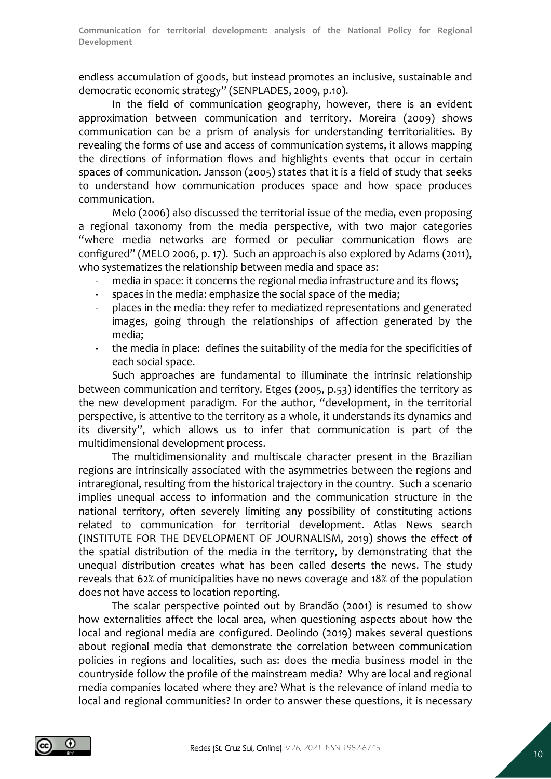endless accumulation of goods, but instead promotes an inclusive, sustainable and democratic economic strategy" (SENPLADES, 2009, p.10).

In the field of communication geography, however, there is an evident approximation between communication and territory. Moreira (2009) shows communication can be a prism of analysis for understanding territorialities. By revealing the forms of use and access of communication systems, it allows mapping the directions of information flows and highlights events that occur in certain spaces of communication. Jansson (2005) states that it is a field of study that seeks to understand how communication produces space and how space produces communication.

Melo (2006) also discussed the territorial issue of the media, even proposing a regional taxonomy from the media perspective, with two major categories "where media networks are formed or peculiar communication flows are configured" (MELO 2006, p. 17). Such an approach is also explored by Adams (2011), who systematizes the relationship between media and space as:

- media in space: it concerns the regional media infrastructure and its flows;
- spaces in the media: emphasize the social space of the media;
- places in the media: they refer to mediatized representations and generated images, going through the relationships of affection generated by the media;
- the media in place: defines the suitability of the media for the specificities of each social space.

Such approaches are fundamental to illuminate the intrinsic relationship between communication and territory. Etges (2005, p.53) identifies the territory as the new development paradigm. For the author, "development, in the territorial perspective, is attentive to the territory as a whole, it understands its dynamics and its diversity", which allows us to infer that communication is part of the multidimensional development process.

The multidimensionality and multiscale character present in the Brazilian regions are intrinsically associated with the asymmetries between the regions and intraregional, resulting from the historical trajectory in the country. Such a scenario implies unequal access to information and the communication structure in the national territory, often severely limiting any possibility of constituting actions related to communication for territorial development. Atlas News search (INSTITUTE FOR THE DEVELOPMENT OF JOURNALISM, 2019) shows the effect of the spatial distribution of the media in the territory, by demonstrating that the unequal distribution creates what has been called deserts the news. The study reveals that 62% of municipalities have no news coverage and 18% of the population does not have access to location reporting.

The scalar perspective pointed out by Brandão (2001) is resumed to show how externalities affect the local area, when questioning aspects about how the local and regional media are configured. Deolindo (2019) makes several questions about regional media that demonstrate the correlation between communication policies in regions and localities, such as: does the media business model in the countryside follow the profile of the mainstream media? Why are local and regional media companies located where they are? What is the relevance of inland media to local and regional communities? In order to answer these questions, it is necessary

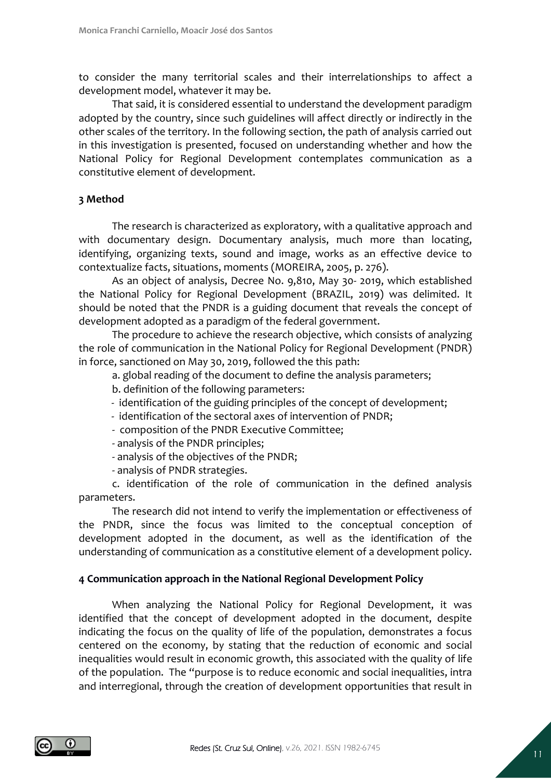to consider the many territorial scales and their interrelationships to affect a development model, whatever it may be.

That said, it is considered essential to understand the development paradigm adopted by the country, since such guidelines will affect directly or indirectly in the other scales of the territory. In the following section, the path of analysis carried out in this investigation is presented, focused on understanding whether and how the National Policy for Regional Development contemplates communication as a constitutive element of development.

## **3 Method**

The research is characterized as exploratory, with a qualitative approach and with documentary design. Documentary analysis, much more than locating, identifying, organizing texts, sound and image, works as an effective device to contextualize facts, situations, moments (MOREIRA, 2005, p. 276).

As an object of analysis, Decree No. 9,810, May 30- 2019, which established the National Policy for Regional Development (BRAZIL, 2019) was delimited. It should be noted that the PNDR is a guiding document that reveals the concept of development adopted as a paradigm of the federal government.

The procedure to achieve the research objective, which consists of analyzing the role of communication in the National Policy for Regional Development (PNDR) in force, sanctioned on May 30, 2019, followed the this path:

a. global reading of the document to define the analysis parameters;

b. definition of the following parameters:

- identification of the guiding principles of the concept of development;
- identification of the sectoral axes of intervention of PNDR;
- composition of the PNDR Executive Committee;
- analysis of the PNDR principles;
- analysis of the objectives of the PNDR;
- analysis of PNDR strategies.

c. identification of the role of communication in the defined analysis parameters.

The research did not intend to verify the implementation or effectiveness of the PNDR, since the focus was limited to the conceptual conception of development adopted in the document, as well as the identification of the understanding of communication as a constitutive element of a development policy.

## **4 Communication approach in the National Regional Development Policy**

When analyzing the National Policy for Regional Development, it was identified that the concept of development adopted in the document, despite indicating the focus on the quality of life of the population, demonstrates a focus centered on the economy, by stating that the reduction of economic and social inequalities would result in economic growth, this associated with the quality of life of the population. The "purpose is to reduce economic and social inequalities, intra and interregional, through the creation of development opportunities that result in

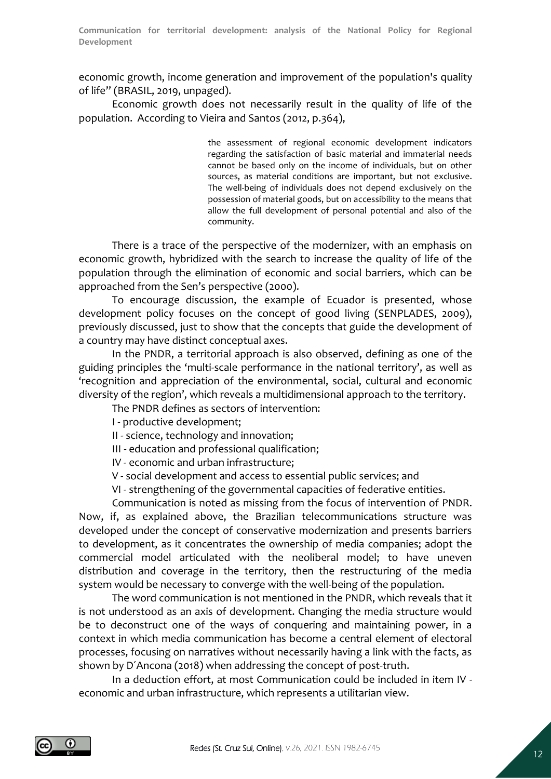economic growth, income generation and improvement of the population's quality of life" (BRASIL, 2019, unpaged).

Economic growth does not necessarily result in the quality of life of the population. According to Vieira and Santos (2012, p.364),

> the assessment of regional economic development indicators regarding the satisfaction of basic material and immaterial needs cannot be based only on the income of individuals, but on other sources, as material conditions are important, but not exclusive. The well-being of individuals does not depend exclusively on the possession of material goods, but on accessibility to the means that allow the full development of personal potential and also of the community.

There is a trace of the perspective of the modernizer, with an emphasis on economic growth, hybridized with the search to increase the quality of life of the population through the elimination of economic and social barriers, which can be approached from the Sen's perspective (2000).

To encourage discussion, the example of Ecuador is presented, whose development policy focuses on the concept of good living (SENPLADES, 2009), previously discussed, just to show that the concepts that guide the development of a country may have distinct conceptual axes.

In the PNDR, a territorial approach is also observed, defining as one of the guiding principles the 'multi-scale performance in the national territory', as well as 'recognition and appreciation of the environmental, social, cultural and economic diversity of the region', which reveals a multidimensional approach to the territory.

The PNDR defines as sectors of intervention:

I - productive development;

II - science, technology and innovation;

III - education and professional qualification;

IV - economic and urban infrastructure;

V - social development and access to essential public services; and

VI - strengthening of the governmental capacities of federative entities.

Communication is noted as missing from the focus of intervention of PNDR. Now, if, as explained above, the Brazilian telecommunications structure was developed under the concept of conservative modernization and presents barriers to development, as it concentrates the ownership of media companies; adopt the commercial model articulated with the neoliberal model; to have uneven distribution and coverage in the territory, then the restructuring of the media system would be necessary to converge with the well-being of the population.

The word communication is not mentioned in the PNDR, which reveals that it is not understood as an axis of development. Changing the media structure would be to deconstruct one of the ways of conquering and maintaining power, in a context in which media communication has become a central element of electoral processes, focusing on narratives without necessarily having a link with the facts, as shown by D´Ancona (2018) when addressing the concept of post-truth.

In a deduction effort, at most Communication could be included in item IV economic and urban infrastructure, which represents a utilitarian view.

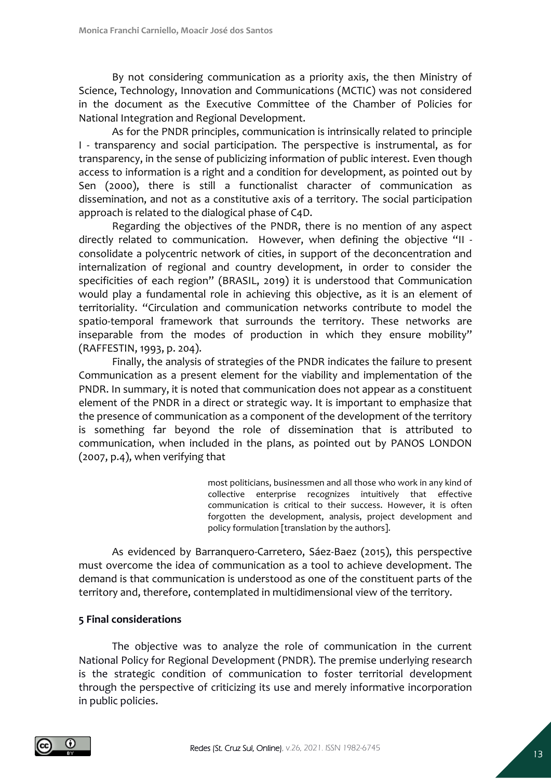By not considering communication as a priority axis, the then Ministry of Science, Technology, Innovation and Communications (MCTIC) was not considered in the document as the Executive Committee of the Chamber of Policies for National Integration and Regional Development.

As for the PNDR principles, communication is intrinsically related to principle I - transparency and social participation. The perspective is instrumental, as for transparency, in the sense of publicizing information of public interest. Even though access to information is a right and a condition for development, as pointed out by Sen (2000), there is still a functionalist character of communication as dissemination, and not as a constitutive axis of a territory. The social participation approach is related to the dialogical phase of C4D.

Regarding the objectives of the PNDR, there is no mention of any aspect directly related to communication. However, when defining the objective "II consolidate a polycentric network of cities, in support of the deconcentration and internalization of regional and country development, in order to consider the specificities of each region" (BRASIL, 2019) it is understood that Communication would play a fundamental role in achieving this objective, as it is an element of territoriality. "Circulation and communication networks contribute to model the spatio-temporal framework that surrounds the territory. These networks are inseparable from the modes of production in which they ensure mobility" (RAFFESTIN, 1993, p. 204).

Finally, the analysis of strategies of the PNDR indicates the failure to present Communication as a present element for the viability and implementation of the PNDR. In summary, it is noted that communication does not appear as a constituent element of the PNDR in a direct or strategic way. It is important to emphasize that the presence of communication as a component of the development of the territory is something far beyond the role of dissemination that is attributed to communication, when included in the plans, as pointed out by PANOS LONDON (2007, p.4), when verifying that

> most politicians, businessmen and all those who work in any kind of collective enterprise recognizes intuitively that effective communication is critical to their success. However, it is often forgotten the development, analysis, project development and policy formulation [translation by the authors].

As evidenced by Barranquero-Carretero, Sáez-Baez (2015), this perspective must overcome the idea of communication as a tool to achieve development. The demand is that communication is understood as one of the constituent parts of the territory and, therefore, contemplated in multidimensional view of the territory.

## **5 Final considerations**

The objective was to analyze the role of communication in the current National Policy for Regional Development (PNDR). The premise underlying research is the strategic condition of communication to foster territorial development through the perspective of criticizing its use and merely informative incorporation in public policies.

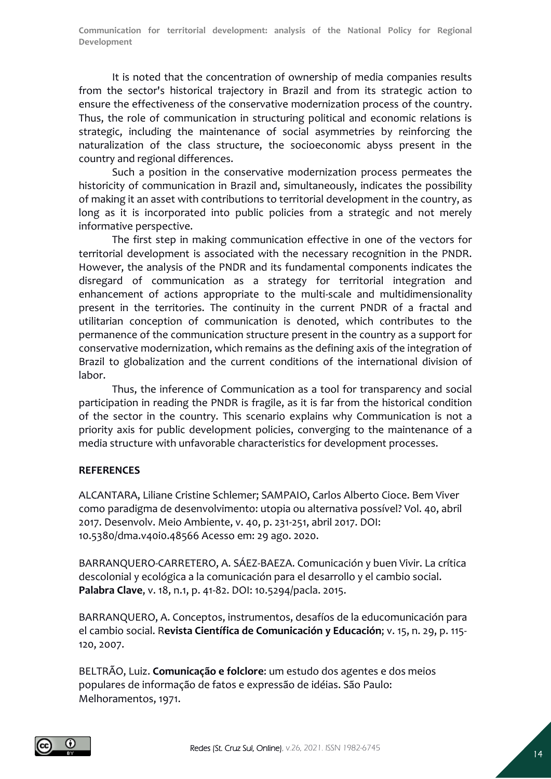It is noted that the concentration of ownership of media companies results from the sector's historical trajectory in Brazil and from its strategic action to ensure the effectiveness of the conservative modernization process of the country. Thus, the role of communication in structuring political and economic relations is strategic, including the maintenance of social asymmetries by reinforcing the naturalization of the class structure, the socioeconomic abyss present in the country and regional differences.

Such a position in the conservative modernization process permeates the historicity of communication in Brazil and, simultaneously, indicates the possibility of making it an asset with contributions to territorial development in the country, as long as it is incorporated into public policies from a strategic and not merely informative perspective.

The first step in making communication effective in one of the vectors for territorial development is associated with the necessary recognition in the PNDR. However, the analysis of the PNDR and its fundamental components indicates the disregard of communication as a strategy for territorial integration and enhancement of actions appropriate to the multi-scale and multidimensionality present in the territories. The continuity in the current PNDR of a fractal and utilitarian conception of communication is denoted, which contributes to the permanence of the communication structure present in the country as a support for conservative modernization, which remains as the defining axis of the integration of Brazil to globalization and the current conditions of the international division of labor.

Thus, the inference of Communication as a tool for transparency and social participation in reading the PNDR is fragile, as it is far from the historical condition of the sector in the country. This scenario explains why Communication is not a priority axis for public development policies, converging to the maintenance of a media structure with unfavorable characteristics for development processes.

## **REFERENCES**

ALCANTARA, Liliane Cristine Schlemer; SAMPAIO, Carlos Alberto Cioce. Bem Viver como paradigma de desenvolvimento: utopia ou alternativa possível? Vol. 40, abril 2017. Desenvolv. Meio Ambiente, v. 40, p. 231-251, abril 2017. DOI: 10.5380/dma.v40i0.48566 Acesso em: 29 ago. 2020.

BARRANQUERO-CARRETERO, A. SÁEZ-BAEZA. Comunicación y buen Vivir. La crítica descolonial y ecológica a la comunicación para el desarrollo y el cambio social. **Palabra Clave**, v. 18, n.1, p. 41-82. DOI: 10.5294/pacla. 2015.

BARRANQUERO, A. Conceptos, instrumentos, desafíos de la educomunicación para el cambio social. R**evista Científica de Comunicación y Educación**; v. 15, n. 29, p. 115- 120, 2007.

BELTRÃO, Luiz. **Comunicação e folclore**: um estudo dos agentes e dos meios populares de informação de fatos e expressão de idéias. São Paulo: Melhoramentos, 1971.

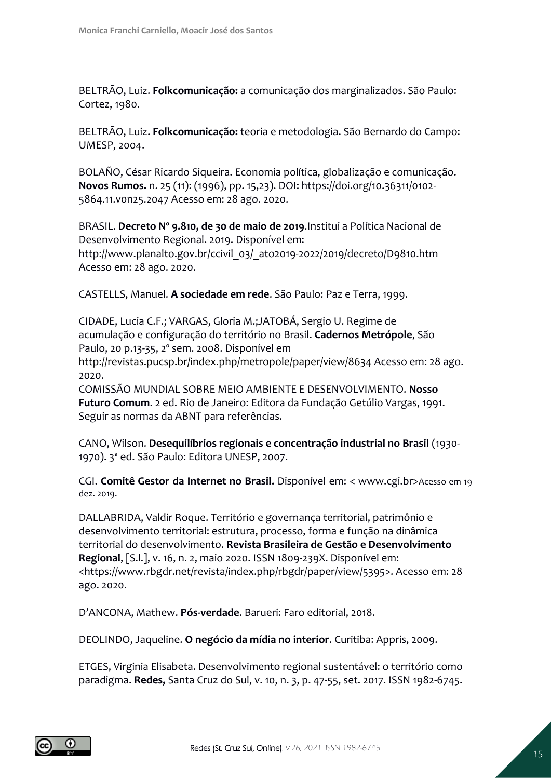BELTRÃO, Luiz. **Folkcomunicação:** a comunicação dos marginalizados. São Paulo: Cortez, 1980.

BELTRÃO, Luiz. **Folkcomunicação:** teoria e metodologia. São Bernardo do Campo: UMESP, 2004.

BOLAÑO, César Ricardo Siqueira. Economia política, globalização e comunicação. **Novos Rumos.** n. 25 (11): (1996), pp. 15,23). DOI: https://doi.org/10.36311/0102- 5864.11.v0n25.2047 Acesso em: 28 ago. 2020.

BRASIL. **Decreto Nº 9.810, de 30 de maio de 2019**.Institui a Política Nacional de Desenvolvimento Regional. 2019. Disponível em: http://www.planalto.gov.br/ccivil\_03/\_ato2019-2022/2019/decreto/D9810.htm Acesso em: 28 ago. 2020.

CASTELLS, Manuel. **A sociedade em rede**. São Paulo: Paz e Terra, 1999.

CIDADE, Lucia C.F.; VARGAS, Gloria M.;JATOBÁ, Sergio U. Regime de acumulação e configuração do território no Brasil. **Cadernos Metrópole**, São Paulo, 20 p.13-35, 2º sem. 2008. Disponível em

http://revistas.pucsp.br/index.php/metropole/paper/view/8634 Acesso em: 28 ago. 2020.

COMISSÃO MUNDIAL SOBRE MEIO AMBIENTE E DESENVOLVIMENTO. **Nosso Futuro Comum**. 2 ed. Rio de Janeiro: Editora da Fundação Getúlio Vargas, 1991. Seguir as normas da ABNT para referências.

CANO, Wilson. **Desequilíbrios regionais e concentração industrial no Brasil** (1930- 1970). 3ª ed. São Paulo: Editora UNESP, 2007.

CGI. **Comitê Gestor da Internet no Brasil.** Disponível em: < www.cgi.br>Acesso em 19 dez. 2019.

DALLABRIDA, Valdir Roque. Território e governança territorial, patrimônio e desenvolvimento territorial: estrutura, processo, forma e função na dinâmica territorial do desenvolvimento. **Revista Brasileira de Gestão e Desenvolvimento Regional**, [S.l.], v. 16, n. 2, maio 2020. ISSN 1809-239X. Disponível em: <https://www.rbgdr.net/revista/index.php/rbgdr/paper/view/5395>. Acesso em: 28 ago. 2020.

D'ANCONA, Mathew. **Pós-verdade**. Barueri: Faro editorial, 2018.

DEOLINDO, Jaqueline. **O negócio da mídia no interior**. Curitiba: Appris, 2009.

ETGES, Virginia Elisabeta. Desenvolvimento regional sustentável: o território como paradigma. **Redes,** Santa Cruz do Sul, v. 10, n. 3, p. 47-55, set. 2017. ISSN 1982-6745.

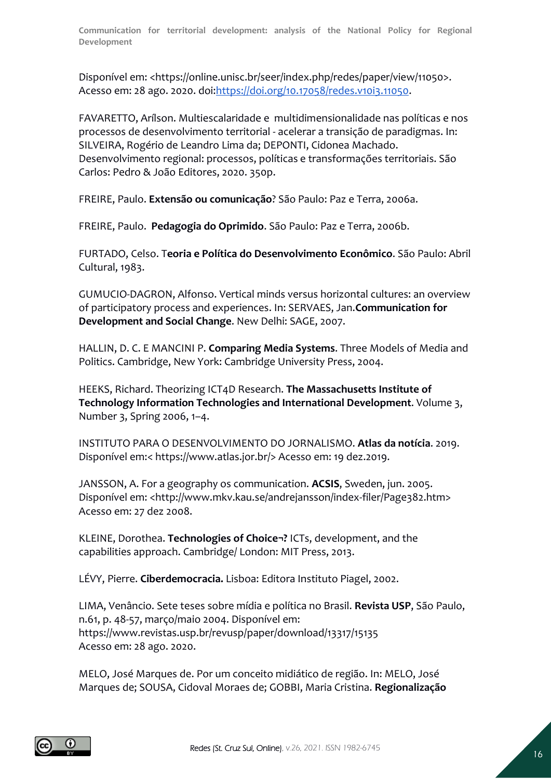Disponível em: <https://online.unisc.br/seer/index.php/redes/paper/view/11050>. Acesso em: 28 ago. 2020. doi[:https://doi.org/10.17058/redes.v10i3.11050.](https://doi.org/10.17058/redes.v10i3.11050)

FAVARETTO, Arílson. Multiescalaridade e multidimensionalidade nas políticas e nos processos de desenvolvimento territorial - acelerar a transição de paradigmas. In: SILVEIRA, Rogério de Leandro Lima da; DEPONTI, Cidonea Machado. Desenvolvimento regional: processos, políticas e transformações territoriais. São Carlos: Pedro & João Editores, 2020. 350p.

FREIRE, Paulo. **Extensão ou comunicação**? São Paulo: Paz e Terra, 2006a.

FREIRE, Paulo. **Pedagogia do Oprimido**. São Paulo: Paz e Terra, 2006b.

FURTADO, Celso. T**eoria e Política do Desenvolvimento Econômico**. São Paulo: Abril Cultural, 1983.

GUMUCIO-DAGRON, Alfonso. Vertical minds versus horizontal cultures: an overview of participatory process and experiences. In: SERVAES, Jan.**Communication for Development and Social Change**. New Delhi: SAGE, 2007.

HALLIN, D. C. E MANCINI P. **Comparing Media Systems**. Three Models of Media and Politics. Cambridge, New York: Cambridge University Press, 2004.

HEEKS, Richard. Theorizing ICT4D Research. **The Massachusetts Institute of Technology Information Technologies and International Development**. Volume 3, Number 3, Spring 2006, 1–4.

INSTITUTO PARA O DESENVOLVIMENTO DO JORNALISMO. **Atlas da notícia**. 2019. Disponível em:< https://www.atlas.jor.br/> Acesso em: 19 dez.2019.

JANSSON, A. For a geography os communication. **ACSIS**, Sweden, jun. 2005. Disponível em: <http://www.mkv.kau.se/andrejansson/index-filer/Page382.htm> Acesso em: 27 dez 2008.

KLEINE, Dorothea. **Technologies of Choice¬?** ICTs, development, and the capabilities approach. Cambridge/ London: MIT Press, 2013.

LÉVY, Pierre. **Ciberdemocracia.** Lisboa: Editora Instituto Piagel, 2002.

LIMA, Venâncio. Sete teses sobre mídia e política no Brasil. **Revista USP**, São Paulo, n.61, p. 48-57, março/maio 2004. Disponível em: https://www.revistas.usp.br/revusp/paper/download/13317/15135 Acesso em: 28 ago. 2020.

MELO, José Marques de. Por um conceito midiático de região. In: MELO, José Marques de; SOUSA, Cidoval Moraes de; GOBBI, Maria Cristina. **Regionalização** 

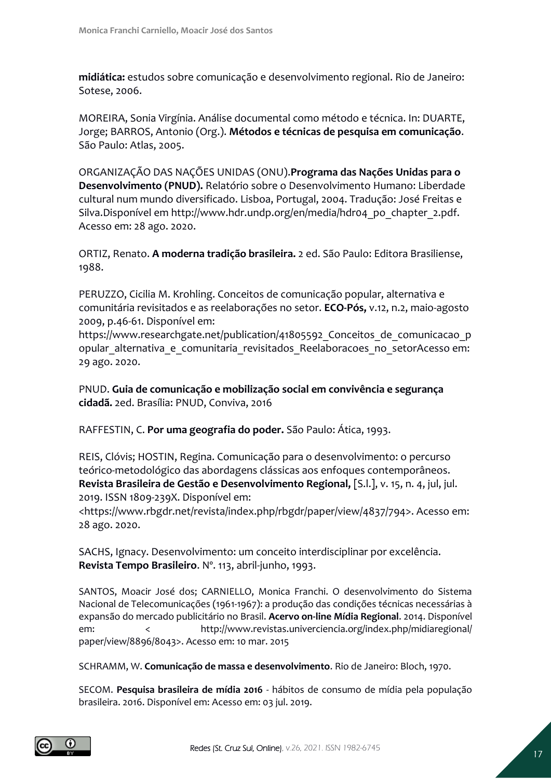**midiática:** estudos sobre comunicação e desenvolvimento regional. Rio de Janeiro: Sotese, 2006.

MOREIRA, Sonia Virgínia. Análise documental como método e técnica. In: DUARTE, Jorge; BARROS, Antonio (Org.). **Métodos e técnicas de pesquisa em comunicação**. São Paulo: Atlas, 2005.

ORGANIZAÇÃO DAS NAÇÕES UNIDAS (ONU).**Programa das Nações Unidas para o Desenvolvimento (PNUD).** Relatório sobre o Desenvolvimento Humano: Liberdade cultural num mundo diversificado. Lisboa, Portugal, 2004. Tradução: José Freitas e Silva.Disponível em http://www.hdr.undp.org/en/media/hdr04\_po\_chapter\_2.pdf. Acesso em: 28 ago. 2020.

ORTIZ, Renato. **A moderna tradição brasileira.** 2 ed. São Paulo: Editora Brasiliense, 1988.

PERUZZO, Cicilia M. Krohling. Conceitos de comunicação popular, alternativa e comunitária revisitados e as reelaborações no setor. **ECO-Pós,** v.12, n.2, maio-agosto 2009, p.46-61. Disponível em:

https://www.researchgate.net/publication/41805592 Conceitos de comunicacao p opular alternativa e comunitaria revisitados Reelaboracoes no setorAcesso em: 29 ago. 2020.

PNUD. **Guia de comunicação e mobilização social em convivência e segurança cidadã.** 2ed. Brasília: PNUD, Conviva, 2016

RAFFESTIN, C. **Por uma geografia do poder.** São Paulo: Ática, 1993.

REIS, Clóvis; HOSTIN, Regina. Comunicação para o desenvolvimento: o percurso teórico-metodológico das abordagens clássicas aos enfoques contemporâneos. **Revista Brasileira de Gestão e Desenvolvimento Regional,** [S.l.], v. 15, n. 4, jul, jul. 2019. ISSN 1809-239X. Disponível em:

<https://www.rbgdr.net/revista/index.php/rbgdr/paper/view/4837/794>. Acesso em: 28 ago. 2020.

SACHS, Ignacy. Desenvolvimento: um conceito interdisciplinar por excelência. **Revista Tempo Brasileiro**. Nº. 113, abril-junho, 1993.

SANTOS, Moacir José dos; CARNIELLO, Monica Franchi. O desenvolvimento do Sistema Nacional de Telecomunicações (1961-1967): a produção das condições técnicas necessárias à expansão do mercado publicitário no Brasil. **Acervo on-line Mídia Regional**. 2014. Disponível em: < http://www.revistas.univerciencia.org/index.php/midiaregional/ paper/view/8896/8043>. Acesso em: 10 mar. 2015

SCHRAMM, W. **Comunicação de massa e desenvolvimento**. Rio de Janeiro: Bloch, 1970.

SECOM. **Pesquisa brasileira de mídia 2016** - hábitos de consumo de mídia pela população brasileira. 2016. Disponível em: Acesso em: 03 jul. 2019.